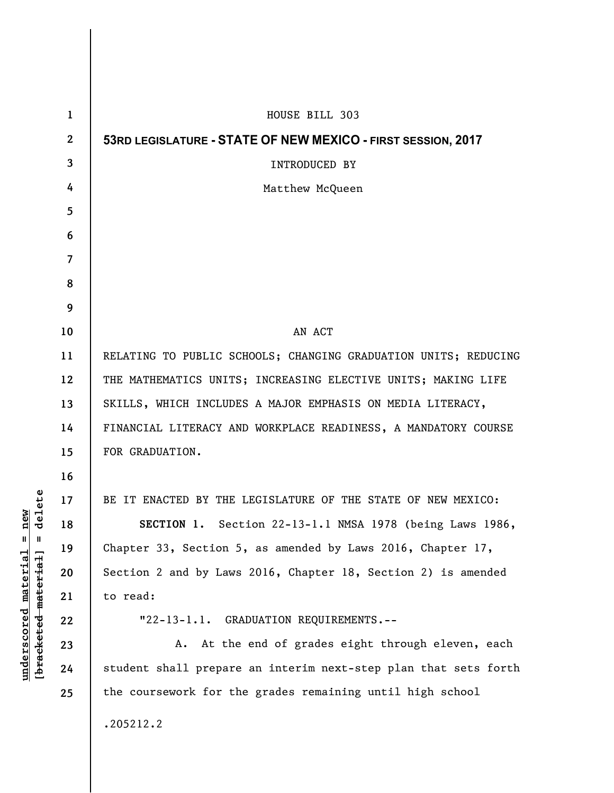| $\mathbf{1}$     | HOUSE BILL 303                                                  |
|------------------|-----------------------------------------------------------------|
| $\boldsymbol{2}$ | 53RD LEGISLATURE - STATE OF NEW MEXICO - FIRST SESSION, 2017    |
| 3                | <b>INTRODUCED BY</b>                                            |
| 4                | Matthew McQueen                                                 |
| 5                |                                                                 |
| 6                |                                                                 |
| $\overline{7}$   |                                                                 |
| 8                |                                                                 |
| 9                |                                                                 |
| 10               | AN ACT                                                          |
| 11               | RELATING TO PUBLIC SCHOOLS; CHANGING GRADUATION UNITS; REDUCING |
| 12               | THE MATHEMATICS UNITS; INCREASING ELECTIVE UNITS; MAKING LIFE   |
| 13               | SKILLS, WHICH INCLUDES A MAJOR EMPHASIS ON MEDIA LITERACY,      |
| 14               | FINANCIAL LITERACY AND WORKPLACE READINESS, A MANDATORY COURSE  |
| 15               | FOR GRADUATION.                                                 |
| 16               |                                                                 |
| 17               | BE IT ENACTED BY THE LEGISLATURE OF THE STATE OF NEW MEXICO:    |
| 18               | SECTION 1. Section 22-13-1.1 NMSA 1978 (being Laws 1986,        |
| 19               | Chapter 33, Section 5, as amended by Laws 2016, Chapter $17$ ,  |
| 20               | Section 2 and by Laws 2016, Chapter 18, Section 2) is amended   |
| 21               | to read:                                                        |
| 22               | "22-13-1.1. GRADUATION REQUIREMENTS.--                          |
| 23               | A. At the end of grades eight through eleven, each              |
| 24               | student shall prepare an interim next-step plan that sets forth |
| 25               | the coursework for the grades remaining until high school       |
|                  | .205212.2                                                       |

 $[**bracket eted metert et**] = **del et e**$ **[bracketed material] = delete**  $underscored material = new$ **underscored material = new**

 $\overline{\phantom{a}}$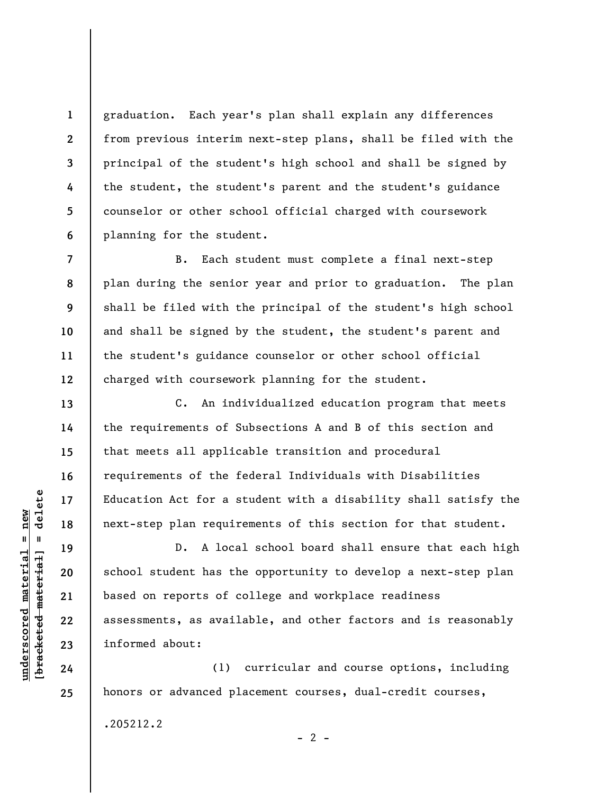graduation. Each year's plan shall explain any differences from previous interim next-step plans, shall be filed with the principal of the student's high school and shall be signed by the student, the student's parent and the student's guidance counselor or other school official charged with coursework planning for the student.

B. Each student must complete a final next-step plan during the senior year and prior to graduation. The plan shall be filed with the principal of the student's high school and shall be signed by the student, the student's parent and the student's guidance counselor or other school official charged with coursework planning for the student.

C. An individualized education program that meets the requirements of Subsections A and B of this section and that meets all applicable transition and procedural requirements of the federal Individuals with Disabilities Education Act for a student with a disability shall satisfy the next-step plan requirements of this section for that student.

D. A local school board shall ensure that each high school student has the opportunity to develop a next-step plan based on reports of college and workplace readiness assessments, as available, and other factors and is reasonably informed about:

(1) curricular and course options, including honors or advanced placement courses, dual-credit courses,

.205212.2

 $\frac{1}{2}$  of  $\frac{1}{2}$  and  $\frac{1}{2}$  and  $\frac{1}{2}$  and  $\frac{1}{2}$  and  $\frac{1}{2}$  and  $\frac{1}{2}$  and  $\frac{1}{2}$  and  $\frac{1}{2}$  and  $\frac{1}{2}$  and  $\frac{1}{2}$  and  $\frac{1}{2}$  and  $\frac{1}{2}$  and  $\frac{1}{2}$  and  $\frac{1}{2}$  and  $\frac{1}{2}$  an **[bracketed material] = delete**  $underscored material = new$ **underscored material = new**

**1** 

**2** 

**3** 

**4** 

**5** 

**6** 

**7** 

**8** 

**9** 

**10** 

**11** 

**12** 

**13** 

**14** 

**15** 

**16** 

**17** 

**18** 

**19** 

**20** 

**21** 

**22** 

**23** 

**24** 

**25** 

 $- 2 -$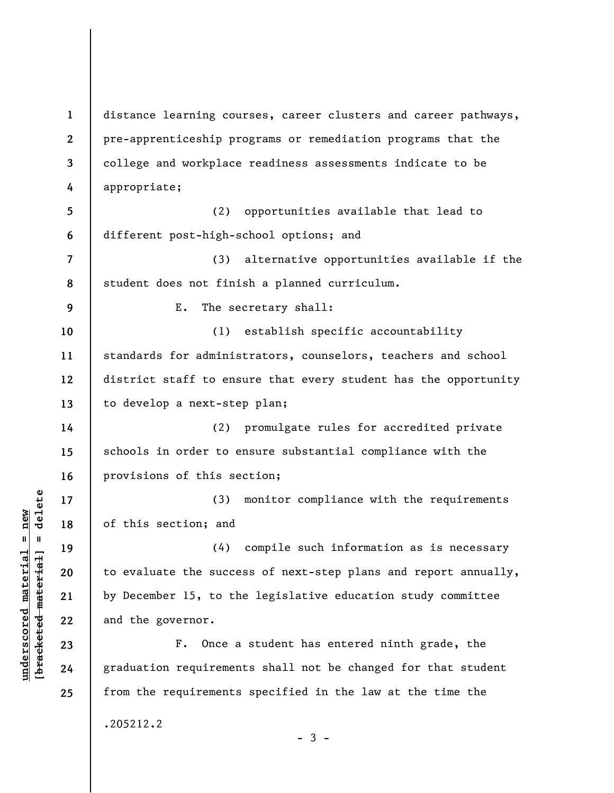**1 2 3 4 5 6 7 8 9 10 11 12 13 14 15 16 17 18 19 20 21 22 23 24 25**  distance learning courses, career clusters and career pathways, pre-apprenticeship programs or remediation programs that the college and workplace readiness assessments indicate to be appropriate; (2) opportunities available that lead to different post-high-school options; and (3) alternative opportunities available if the student does not finish a planned curriculum. E. The secretary shall: (1) establish specific accountability standards for administrators, counselors, teachers and school district staff to ensure that every student has the opportunity to develop a next-step plan; (2) promulgate rules for accredited private schools in order to ensure substantial compliance with the provisions of this section; (3) monitor compliance with the requirements of this section; and (4) compile such information as is necessary to evaluate the success of next-step plans and report annually, by December 15, to the legislative education study committee and the governor. F. Once a student has entered ninth grade, the graduation requirements shall not be changed for that student from the requirements specified in the law at the time the .205212.2  $-3 -$ 

**underscored material = new [bracketed material] = delete**

 $\frac{1}{2}$  intereted material = delete  $underscored material = new$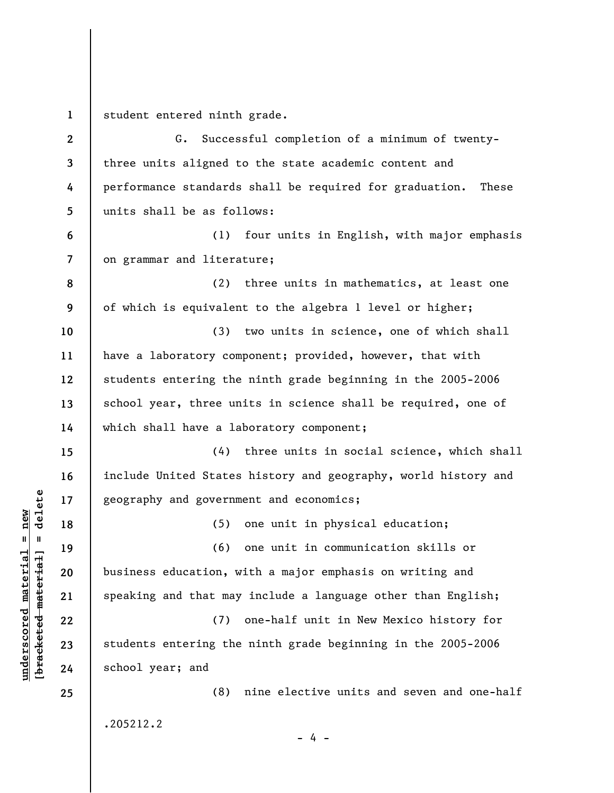**1**  student entered ninth grade.

**underscored material = new [bracketed material] = delete**

 $\frac{1}{2}$  of  $\frac{1}{2}$  and  $\frac{1}{2}$  and  $\frac{1}{2}$  and  $\frac{1}{2}$  and  $\frac{1}{2}$  and  $\frac{1}{2}$  and  $\frac{1}{2}$  and  $\frac{1}{2}$  and  $\frac{1}{2}$  and  $\frac{1}{2}$  and  $\frac{1}{2}$  and  $\frac{1}{2}$  and  $\frac{1}{2}$  and  $\frac{1}{2}$  and  $\frac{1}{2}$  an  $underscored material = new$ 

**2 3 4 5 6 7 8 9 10 11 12 13 14 15 16 17 18 19 20 21 22 23 24 25**  G. Successful completion of a minimum of twentythree units aligned to the state academic content and performance standards shall be required for graduation. These units shall be as follows: (1) four units in English, with major emphasis on grammar and literature; (2) three units in mathematics, at least one of which is equivalent to the algebra 1 level or higher; (3) two units in science, one of which shall have a laboratory component; provided, however, that with students entering the ninth grade beginning in the 2005-2006 school year, three units in science shall be required, one of which shall have a laboratory component; (4) three units in social science, which shall include United States history and geography, world history and geography and government and economics; (5) one unit in physical education; (6) one unit in communication skills or business education, with a major emphasis on writing and speaking and that may include a language other than English; (7) one-half unit in New Mexico history for students entering the ninth grade beginning in the 2005-2006 school year; and (8) nine elective units and seven and one-half .205212.2 - 4 -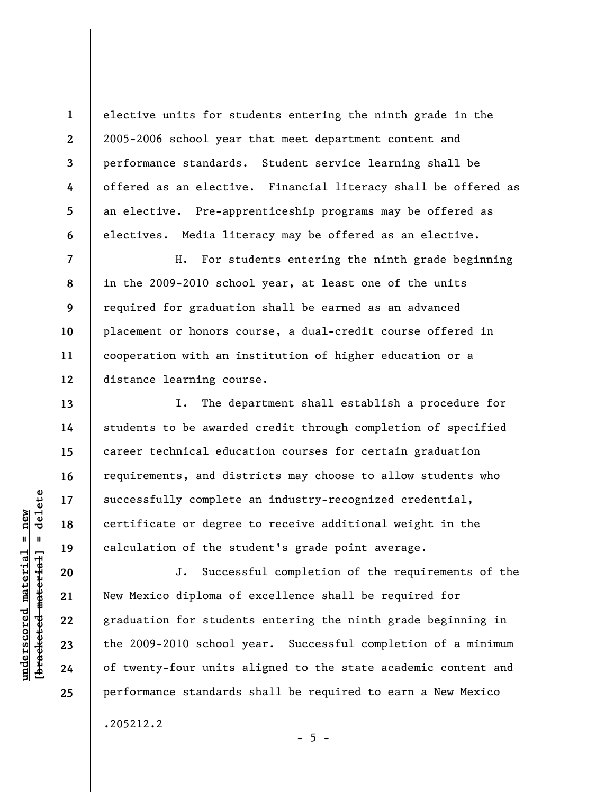elective units for students entering the ninth grade in the 2005-2006 school year that meet department content and performance standards. Student service learning shall be offered as an elective. Financial literacy shall be offered as an elective. Pre-apprenticeship programs may be offered as electives. Media literacy may be offered as an elective.

**8 9 12**  H. For students entering the ninth grade beginning in the 2009-2010 school year, at least one of the units required for graduation shall be earned as an advanced placement or honors course, a dual-credit course offered in cooperation with an institution of higher education or a distance learning course.

I. The department shall establish a procedure for students to be awarded credit through completion of specified career technical education courses for certain graduation requirements, and districts may choose to allow students who successfully complete an industry-recognized credential, certificate or degree to receive additional weight in the calculation of the student's grade point average.

J. Successful completion of the requirements of the New Mexico diploma of excellence shall be required for graduation for students entering the ninth grade beginning in the 2009-2010 school year. Successful completion of a minimum of twenty-four units aligned to the state academic content and performance standards shall be required to earn a New Mexico

 $- 5 -$ 

.205212.2

 $\frac{1}{2}$  intereted material = delete **[bracketed material] = delete**  $underscored material = new$ **underscored material = new**

**1** 

**2** 

**3** 

**4** 

**5** 

**6** 

**7** 

**10** 

**11** 

**13** 

**14** 

**15** 

**16** 

**17** 

**18** 

**19** 

**20** 

**21** 

**22** 

**23** 

**24**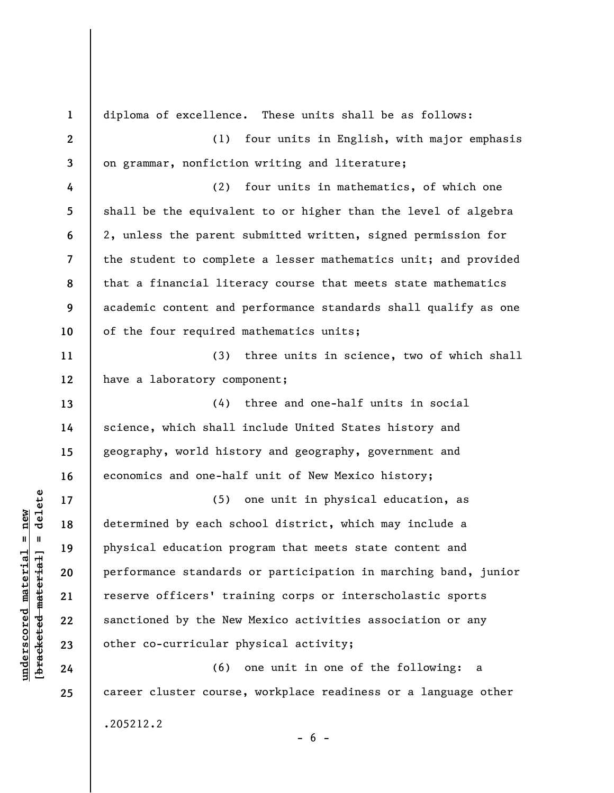| $\mathbf{1}$ | diploma of excellence. These units shall be as follows:         |
|--------------|-----------------------------------------------------------------|
| $\mathbf{2}$ | (1)<br>four units in English, with major emphasis               |
| 3            | on grammar, nonfiction writing and literature;                  |
| 4            | (2)<br>four units in mathematics, of which one                  |
| 5            | shall be the equivalent to or higher than the level of algebra  |
| 6            | 2, unless the parent submitted written, signed permission for   |
| 7            | the student to complete a lesser mathematics unit; and provided |
| 8            | that a financial literacy course that meets state mathematics   |
| 9            | academic content and performance standards shall qualify as one |
| 10           | of the four required mathematics units;                         |
| 11           | three units in science, two of which shall<br>(3)               |
| 12           | have a laboratory component;                                    |
| 13           | three and one-half units in social<br>(4)                       |
| 14           | science, which shall include United States history and          |
| 15           | geography, world history and geography, government and          |
| 16           | economics and one-half unit of New Mexico history;              |
| 17           | one unit in physical education, as<br>(5)                       |
| 18           | determined by each school district, which may include a         |
| 19           | physical education program that meets state content and         |
| 20           | performance standards or participation in marching band, junior |
| 21           | reserve officers' training corps or interscholastic sports      |
| 22           | sanctioned by the New Mexico activities association or any      |
| 23           | other co-curricular physical activity;                          |
| 24           | (6) one unit in one of the following:<br>a                      |
| 25           | career cluster course, workplace readiness or a language other  |
|              | .205212.2                                                       |

 $- 6 -$ 

 $[**bracket**et~~eted matcherial~~] = **delete**$ **[bracketed material] = delete**  $underscored material = new$ **underscored material = new**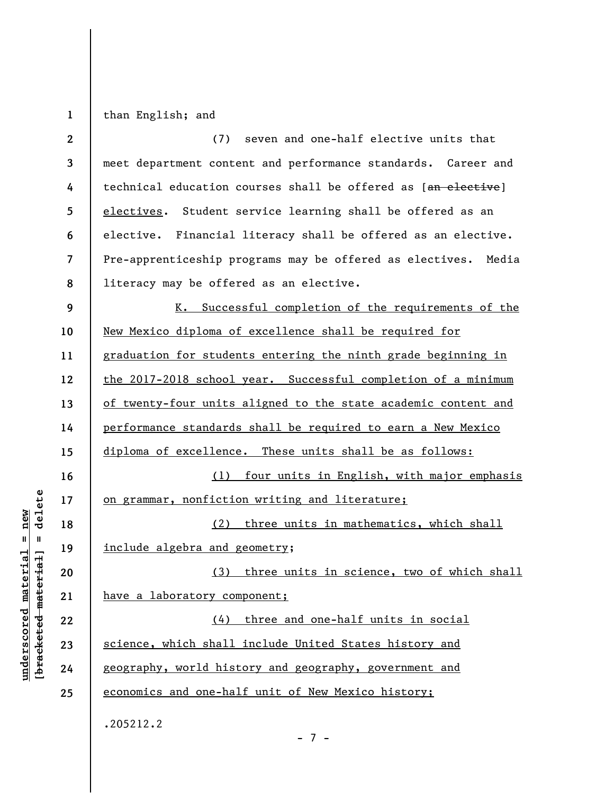**1**  than English; and

| $\boldsymbol{2}$ | seven and one-half elective units that<br>(7)                  |
|------------------|----------------------------------------------------------------|
| 3                | meet department content and performance standards. Career and  |
| 4                | technical education courses shall be offered as [an elective]  |
| 5                | electives. Student service learning shall be offered as an     |
| 6                | elective. Financial literacy shall be offered as an elective.  |
| 7                | Pre-apprenticeship programs may be offered as electives. Media |
| 8                | literacy may be offered as an elective.                        |
| 9                | K. Successful completion of the requirements of the            |
| 10               | New Mexico diploma of excellence shall be required for         |
| 11               | graduation for students entering the ninth grade beginning in  |
| 12               | the 2017-2018 school year. Successful completion of a minimum  |
| 13               | of twenty-four units aligned to the state academic content and |
| 14               | performance standards shall be required to earn a New Mexico   |
| 15               | diploma of excellence. These units shall be as follows:        |
| 16               | four units in English, with major emphasis<br>(1)              |
| 17               | on grammar, nonfiction writing and literature;                 |
| 18               | (2) three units in mathematics, which shall                    |
| 19               | include algebra and geometry;                                  |
| 20               | (3) three units in science, two of which shall                 |
| 21               | have a laboratory component;                                   |
| 22               | three and one-half units in social<br>(4)                      |
| 23               | science, which shall include United States history and         |
| 24               | geography, world history and geography, government and         |
| 25               | economics and one-half unit of New Mexico history;             |
|                  | .205212.2                                                      |

 $\frac{\text{underscored material} = \text{new}}{(\text{bracketed-materiat})}$ **[bracketed material] = delete underscored material = new**

- 7 -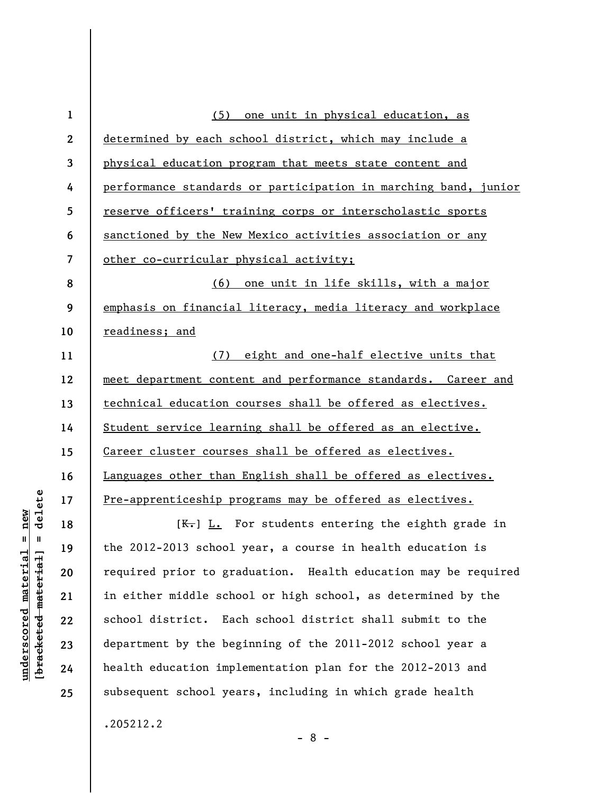| $\mathbf{1}$             | (5) one unit in physical education, as                          |
|--------------------------|-----------------------------------------------------------------|
| $\boldsymbol{2}$         | determined by each school district, which may include a         |
| 3                        | physical education program that meets state content and         |
| 4                        | performance standards or participation in marching band, junior |
| 5                        | reserve officers' training corps or interscholastic sports      |
| 6                        | sanctioned by the New Mexico activities association or any      |
| $\overline{\mathcal{L}}$ | other co-curricular physical activity;                          |
| 8                        | <u>(6) one unit in life skills, with a major</u>                |
| 9                        | emphasis on financial literacy, media literacy and workplace    |
| 10                       | readiness; and                                                  |
| 11                       | (7) eight and one-half elective units that                      |
| 12                       | meet department content and performance standards. Career and   |
| 13                       | technical education courses shall be offered as electives.      |
| 14                       | Student service learning shall be offered as an elective.       |
| 15                       | Career cluster courses shall be offered as electives.           |
| 16                       | Languages other than English shall be offered as electives.     |
| 17                       | Pre-apprenticeship programs may be offered as electives.        |
| 18                       | $K_{\overline{t}}$ L. For students entering the eighth grade in |
| 19                       | the 2012-2013 school year, a course in health education is      |
| 20                       | required prior to graduation. Health education may be required  |
| 21                       | in either middle school or high school, as determined by the    |
| 22                       | school district. Each school district shall submit to the       |
| 23                       | department by the beginning of the 2011-2012 school year a      |
| 24                       | health education implementation plan for the 2012-2013 and      |

.205212.2

**underscored material = new [bracketed material] = delete**

 $[**bracketed**-**meterial**] = **delete**$  $underscored material = new$ 

**25** 

- 8 -

subsequent school years, including in which grade health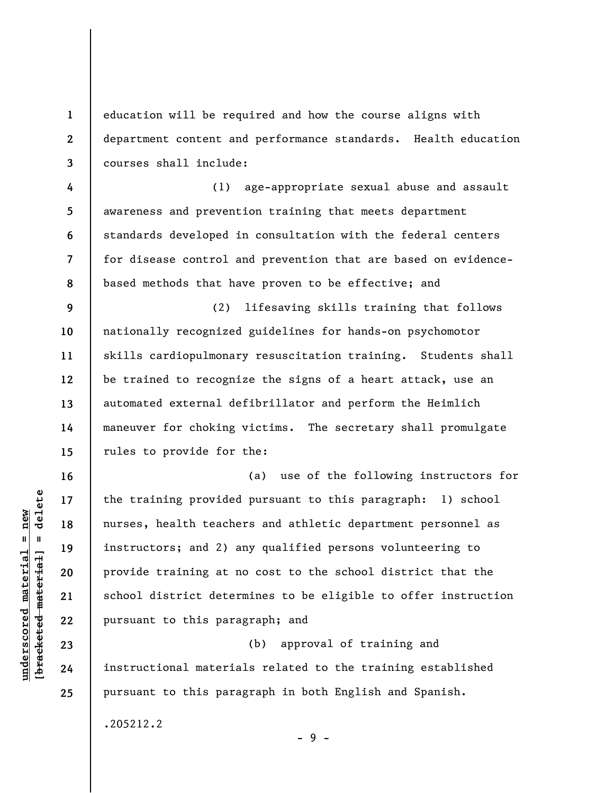education will be required and how the course aligns with department content and performance standards. Health education courses shall include:

**4 5 6 7 8**  (1) age-appropriate sexual abuse and assault awareness and prevention training that meets department standards developed in consultation with the federal centers for disease control and prevention that are based on evidencebased methods that have proven to be effective; and

**9 10 11 12 13 14 15**  (2) lifesaving skills training that follows nationally recognized guidelines for hands-on psychomotor skills cardiopulmonary resuscitation training. Students shall be trained to recognize the signs of a heart attack, use an automated external defibrillator and perform the Heimlich maneuver for choking victims. The secretary shall promulgate rules to provide for the:

(a) use of the following instructors for the training provided pursuant to this paragraph: 1) school nurses, health teachers and athletic department personnel as instructors; and 2) any qualified persons volunteering to provide training at no cost to the school district that the school district determines to be eligible to offer instruction pursuant to this paragraph; and

(b) approval of training and instructional materials related to the training established pursuant to this paragraph in both English and Spanish.

- 9 -

.205212.2

 $\frac{1}{2}$  intereted material = delete **[bracketed material] = delete**  $underscored material = new$ **underscored material = new**

**16** 

**17** 

**18** 

**19** 

**20** 

**21** 

**22** 

**23** 

**24** 

**25** 

**1** 

**2**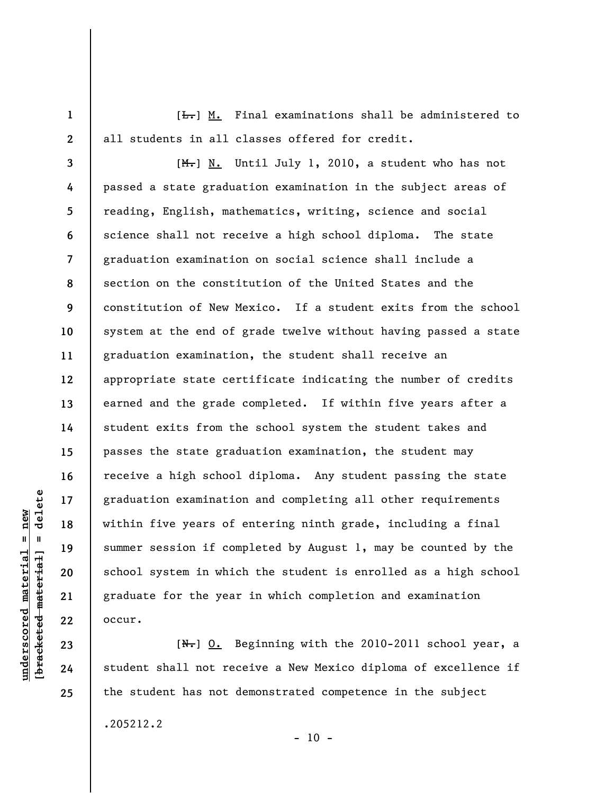**1 2**   $[t-]$  M. Final examinations shall be administered to all students in all classes offered for credit.

**3 8 9 12**  [M.] N. Until July 1, 2010, a student who has not passed a state graduation examination in the subject areas of reading, English, mathematics, writing, science and social science shall not receive a high school diploma. The state graduation examination on social science shall include a section on the constitution of the United States and the constitution of New Mexico. If a student exits from the school system at the end of grade twelve without having passed a state graduation examination, the student shall receive an appropriate state certificate indicating the number of credits earned and the grade completed. If within five years after a student exits from the school system the student takes and passes the state graduation examination, the student may receive a high school diploma. Any student passing the state graduation examination and completing all other requirements within five years of entering ninth grade, including a final summer session if completed by August 1, may be counted by the school system in which the student is enrolled as a high school graduate for the year in which completion and examination occur.

[N.] O. Beginning with the 2010-2011 school year, a student shall not receive a New Mexico diploma of excellence if the student has not demonstrated competence in the subject

 $- 10 -$ 

.205212.2

 $\frac{1}{2}$  intereted material = delete **[bracketed material] = delete**  $nderscored$  material = new **underscored material = new**

**4** 

**5** 

**6** 

**7** 

**10** 

**11** 

**13** 

**14** 

**15** 

**16** 

**17** 

**18** 

**19** 

**20** 

**21** 

**22** 

**23** 

**24**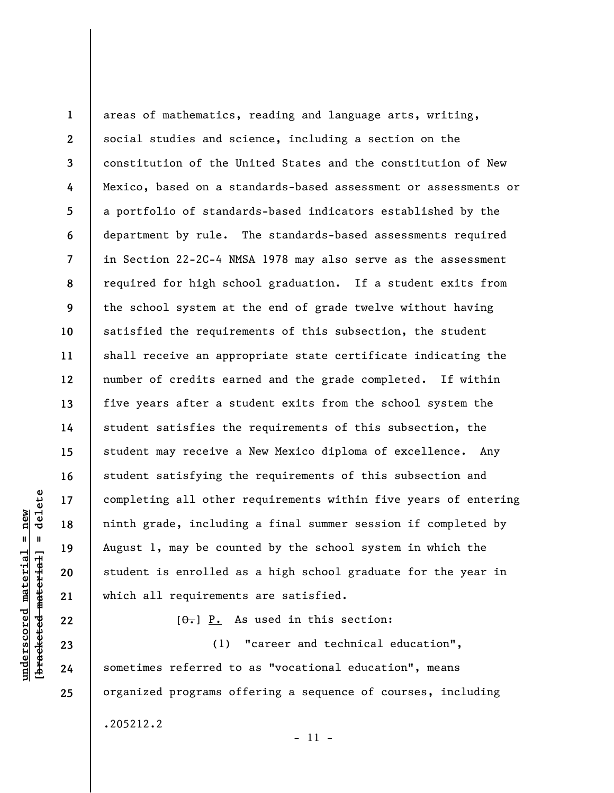**1 2 3 4 5 6 7 8 9 10 11 12 13 14 15 16 17 18 19 20 21**  areas of mathematics, reading and language arts, writing, social studies and science, including a section on the constitution of the United States and the constitution of New Mexico, based on a standards-based assessment or assessments or a portfolio of standards-based indicators established by the department by rule. The standards-based assessments required in Section 22-2C-4 NMSA 1978 may also serve as the assessment required for high school graduation. If a student exits from the school system at the end of grade twelve without having satisfied the requirements of this subsection, the student shall receive an appropriate state certificate indicating the number of credits earned and the grade completed. If within five years after a student exits from the school system the student satisfies the requirements of this subsection, the student may receive a New Mexico diploma of excellence. Any student satisfying the requirements of this subsection and completing all other requirements within five years of entering ninth grade, including a final summer session if completed by August 1, may be counted by the school system in which the student is enrolled as a high school graduate for the year in which all requirements are satisfied.

 $[\theta_{\tau}]$   $\underline{P}_{\cdot}$  As used in this section:

(1) "career and technical education", sometimes referred to as "vocational education", means organized programs offering a sequence of courses, including .205212.2

- 11 -

delete **[bracketed material] = delete**  $anderscored material = new$ **underscored material = new**  $\mathbf{I}$ bracketed material

**22** 

**23** 

**24**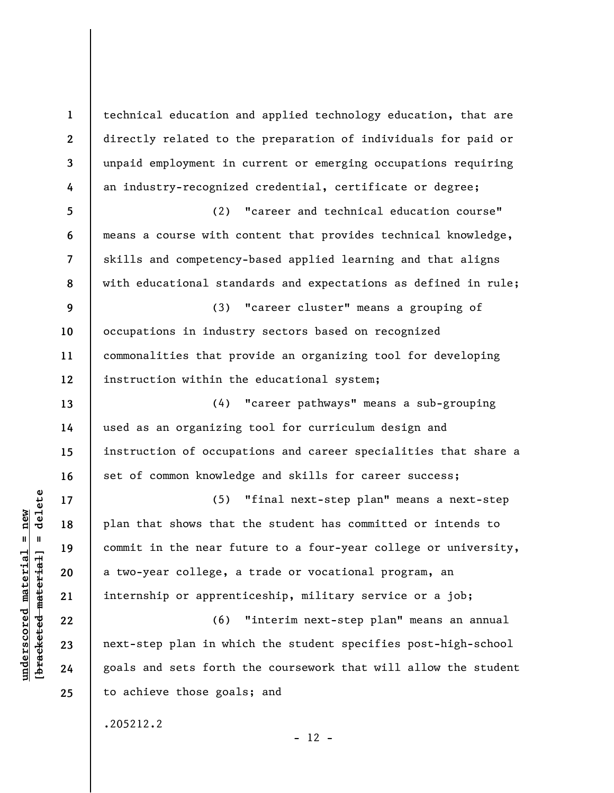technical education and applied technology education, that are directly related to the preparation of individuals for paid or unpaid employment in current or emerging occupations requiring an industry-recognized credential, certificate or degree;

(2) "career and technical education course" means a course with content that provides technical knowledge, skills and competency-based applied learning and that aligns with educational standards and expectations as defined in rule;

**9 10 11 12**  (3) "career cluster" means a grouping of occupations in industry sectors based on recognized commonalities that provide an organizing tool for developing instruction within the educational system;

(4) "career pathways" means a sub-grouping used as an organizing tool for curriculum design and instruction of occupations and career specialities that share a set of common knowledge and skills for career success;

(5) "final next-step plan" means a next-step plan that shows that the student has committed or intends to commit in the near future to a four-year college or university, a two-year college, a trade or vocational program, an internship or apprenticeship, military service or a job;

(6) "interim next-step plan" means an annual next-step plan in which the student specifies post-high-school goals and sets forth the coursework that will allow the student to achieve those goals; and

.205212.2

 $\frac{1}{2}$  bracketed material = delete **[bracketed material] = delete**  $anderscored material = new$ **underscored material = new**

**1** 

**2** 

**3** 

**4** 

**5** 

**6** 

**7** 

**8** 

**13** 

**14** 

**15** 

**16** 

**17** 

**18** 

**19** 

**20** 

**21** 

**22** 

**23** 

**24** 

**25** 

 $- 12 -$